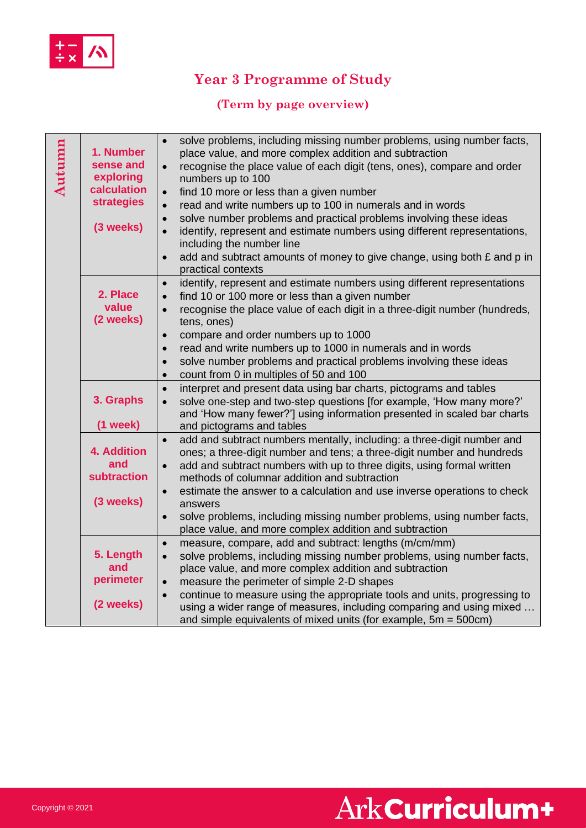

# **Year 3 Programme of Study**

### **(Term by page overview)**

| Autumn | 1. Number<br>sense and<br>exploring<br>calculation<br><b>strategies</b><br>(3 weeks) | solve problems, including missing number problems, using number facts,<br>$\bullet$<br>place value, and more complex addition and subtraction<br>recognise the place value of each digit (tens, ones), compare and order<br>$\bullet$<br>numbers up to 100<br>find 10 more or less than a given number<br>$\bullet$<br>read and write numbers up to 100 in numerals and in words<br>$\bullet$<br>solve number problems and practical problems involving these ideas<br>$\bullet$<br>identify, represent and estimate numbers using different representations,<br>$\bullet$<br>including the number line<br>add and subtract amounts of money to give change, using both £ and p in<br>$\bullet$<br>practical contexts |
|--------|--------------------------------------------------------------------------------------|-----------------------------------------------------------------------------------------------------------------------------------------------------------------------------------------------------------------------------------------------------------------------------------------------------------------------------------------------------------------------------------------------------------------------------------------------------------------------------------------------------------------------------------------------------------------------------------------------------------------------------------------------------------------------------------------------------------------------|
|        | 2. Place<br>value<br>(2 weeks)                                                       | identify, represent and estimate numbers using different representations<br>$\bullet$<br>find 10 or 100 more or less than a given number<br>$\bullet$<br>recognise the place value of each digit in a three-digit number (hundreds,<br>$\bullet$<br>tens, ones)<br>compare and order numbers up to 1000<br>$\bullet$<br>read and write numbers up to 1000 in numerals and in words<br>$\bullet$<br>solve number problems and practical problems involving these ideas<br>$\bullet$<br>count from 0 in multiples of 50 and 100<br>$\bullet$                                                                                                                                                                            |
|        | 3. Graphs<br>(1 week)                                                                | interpret and present data using bar charts, pictograms and tables<br>$\bullet$<br>solve one-step and two-step questions [for example, 'How many more?'<br>$\bullet$<br>and 'How many fewer?'] using information presented in scaled bar charts<br>and pictograms and tables                                                                                                                                                                                                                                                                                                                                                                                                                                          |
|        | <b>4. Addition</b><br>and<br><b>subtraction</b><br>(3 weeks)                         | add and subtract numbers mentally, including: a three-digit number and<br>$\bullet$<br>ones; a three-digit number and tens; a three-digit number and hundreds<br>add and subtract numbers with up to three digits, using formal written<br>$\bullet$<br>methods of columnar addition and subtraction<br>estimate the answer to a calculation and use inverse operations to check<br>$\bullet$<br>answers<br>solve problems, including missing number problems, using number facts,<br>$\bullet$<br>place value, and more complex addition and subtraction                                                                                                                                                             |
|        | 5. Length<br>and<br>perimeter<br>(2 weeks)                                           | measure, compare, add and subtract: lengths (m/cm/mm)<br>$\bullet$<br>solve problems, including missing number problems, using number facts,<br>$\bullet$<br>place value, and more complex addition and subtraction<br>measure the perimeter of simple 2-D shapes<br>$\bullet$<br>continue to measure using the appropriate tools and units, progressing to<br>$\bullet$<br>using a wider range of measures, including comparing and using mixed<br>and simple equivalents of mixed units (for example, $5m = 500cm$ )                                                                                                                                                                                                |

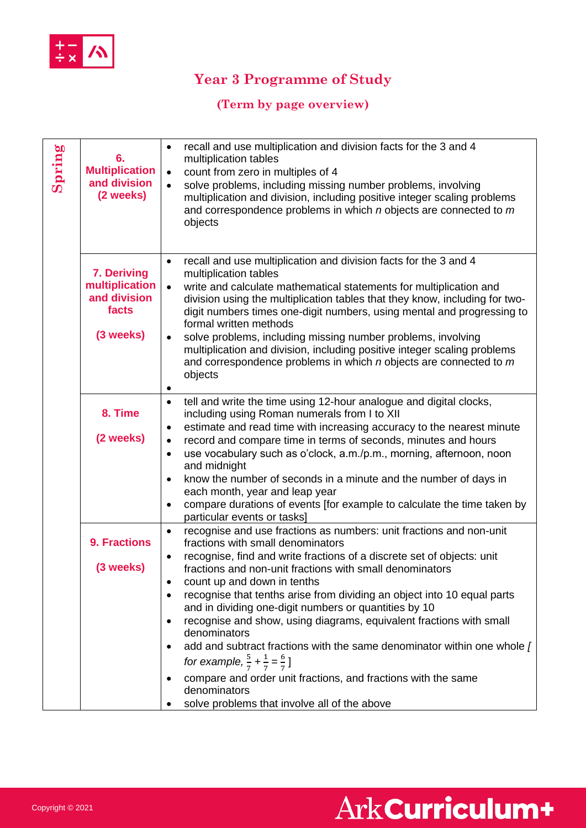

# **Year 3 Programme of Study**

### **(Term by page overview)**

| Spring | 6.<br><b>Multiplication</b><br>and division<br>(2 weeks)            | recall and use multiplication and division facts for the 3 and 4<br>$\bullet$<br>multiplication tables<br>count from zero in multiples of 4<br>$\bullet$<br>solve problems, including missing number problems, involving<br>$\bullet$<br>multiplication and division, including positive integer scaling problems<br>and correspondence problems in which n objects are connected to m<br>objects                                                                                                                                                                                                                                                                                                                                                                                                                                      |
|--------|---------------------------------------------------------------------|----------------------------------------------------------------------------------------------------------------------------------------------------------------------------------------------------------------------------------------------------------------------------------------------------------------------------------------------------------------------------------------------------------------------------------------------------------------------------------------------------------------------------------------------------------------------------------------------------------------------------------------------------------------------------------------------------------------------------------------------------------------------------------------------------------------------------------------|
|        | 7. Deriving<br>multiplication<br>and division<br>facts<br>(3 weeks) | recall and use multiplication and division facts for the 3 and 4<br>$\bullet$<br>multiplication tables<br>write and calculate mathematical statements for multiplication and<br>$\bullet$<br>division using the multiplication tables that they know, including for two-<br>digit numbers times one-digit numbers, using mental and progressing to<br>formal written methods<br>solve problems, including missing number problems, involving<br>$\bullet$<br>multiplication and division, including positive integer scaling problems<br>and correspondence problems in which $n$ objects are connected to $m$<br>objects                                                                                                                                                                                                              |
|        | 8. Time<br>(2 weeks)                                                | tell and write the time using 12-hour analogue and digital clocks,<br>$\bullet$<br>including using Roman numerals from I to XII<br>estimate and read time with increasing accuracy to the nearest minute<br>$\bullet$<br>record and compare time in terms of seconds, minutes and hours<br>$\bullet$<br>use vocabulary such as o'clock, a.m./p.m., morning, afternoon, noon<br>$\bullet$<br>and midnight<br>know the number of seconds in a minute and the number of days in<br>$\bullet$<br>each month, year and leap year<br>compare durations of events [for example to calculate the time taken by<br>$\bullet$<br>particular events or tasks]                                                                                                                                                                                     |
|        | <b>9. Fractions</b><br>(3 weeks)                                    | recognise and use fractions as numbers: unit fractions and non-unit<br>$\bullet$<br>fractions with small denominators<br>recognise, find and write fractions of a discrete set of objects: unit<br>$\bullet$<br>fractions and non-unit fractions with small denominators<br>count up and down in tenths<br>٠<br>recognise that tenths arise from dividing an object into 10 equal parts<br>$\bullet$<br>and in dividing one-digit numbers or quantities by 10<br>recognise and show, using diagrams, equivalent fractions with small<br>٠<br>denominators<br>add and subtract fractions with the same denominator within one whole [<br>for example, $\frac{5}{7} + \frac{1}{7} = \frac{6}{7}$ ]<br>compare and order unit fractions, and fractions with the same<br>٠<br>denominators<br>solve problems that involve all of the above |

# Ark Curriculum+